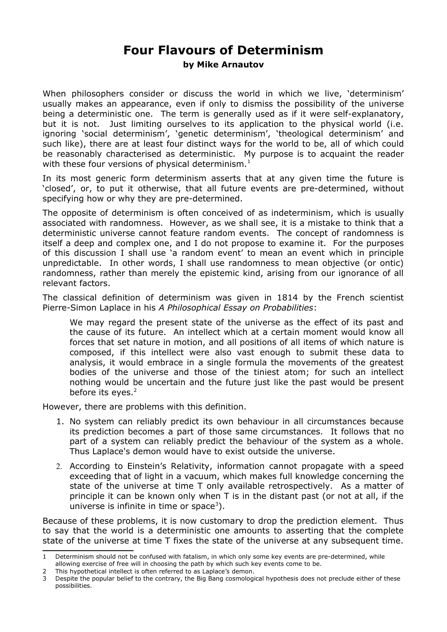## **Four Flavours of Determinism**

**by Mike Arnautov**

When philosophers consider or discuss the world in which we live, 'determinism' usually makes an appearance, even if only to dismiss the possibility of the universe being a deterministic one. The term is generally used as if it were self-explanatory, but it is not. Just limiting ourselves to its application to the physical world (i.e. ignoring 'social determinism', 'genetic determinism', 'theological determinism' and such like), there are at least four distinct ways for the world to be, all of which could be reasonably characterised as deterministic. My purpose is to acquaint the reader with these four versions of physical determinism.<sup>[1](#page-0-0)</sup>

In its most generic form determinism asserts that at any given time the future is 'closed', or, to put it otherwise, that all future events are pre-determined, without specifying how or why they are pre-determined.

The opposite of determinism is often conceived of as indeterminism, which is usually associated with randomness. However, as we shall see, it is a mistake to think that a deterministic universe cannot feature random events. The concept of randomness is itself a deep and complex one, and I do not propose to examine it. For the purposes of this discussion I shall use 'a random event' to mean an event which in principle unpredictable. In other words, I shall use randomness to mean objective (or ontic) randomness, rather than merely the epistemic kind, arising from our ignorance of all relevant factors.

The classical definition of determinism was given in 1814 by the French scientist Pierre-Simon Laplace in his *A Philosophical Essay on Probabilities*:

We may regard the present state of the universe as the effect of its past and the cause of its future. An intellect which at a certain moment would know all forces that set nature in motion, and all positions of all items of which nature is composed, if this intellect were also vast enough to submit these data to analysis, it would embrace in a single formula the movements of the greatest bodies of the universe and those of the tiniest atom; for such an intellect nothing would be uncertain and the future just like the past would be present before its eyes. $2$ 

However, there are problems with this definition.

- 1. No system can reliably predict its own behaviour in all circumstances because its prediction becomes a part of those same circumstances. It follows that no part of a system can reliably predict the behaviour of the system as a whole. Thus Laplace's demon would have to exist outside the universe.
- 2. According to Einstein's Relativity, information cannot propagate with a speed exceeding that of light in a vacuum, which makes full knowledge concerning the state of the universe at time T only available retrospectively. As a matter of principle it can be known only when T is in the distant past (or not at all, if the universe is infinite in time or space<sup>[3](#page-0-2)</sup>).

Because of these problems, it is now customary to drop the prediction element. Thus to say that the world is a deterministic one amounts to asserting that the complete state of the universe at time T fixes the state of the universe at any subsequent time.

<span id="page-0-0"></span>Determinism should not be confused with fatalism, in which only some key events are pre-determined, while

allowing exercise of free will in choosing the path by which such key events come to be.

<span id="page-0-1"></span><sup>2</sup> This hypothetical intellect is often referred to as Laplace's demon.

<span id="page-0-2"></span><sup>3</sup> Despite the popular belief to the contrary, the Big Bang cosmological hypothesis does not preclude either of these possibilities.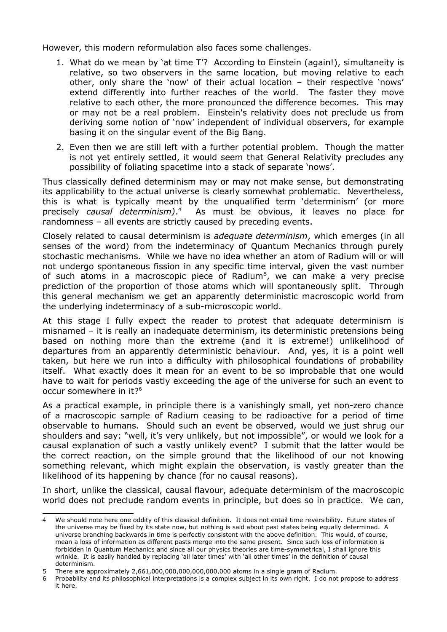However, this modern reformulation also faces some challenges.

- 1. What do we mean by 'at time T'? According to Einstein (again!), simultaneity is relative, so two observers in the same location, but moving relative to each other, only share the 'now' of their actual location – their respective 'nows' extend differently into further reaches of the world. The faster they move relative to each other, the more pronounced the difference becomes. This may or may not be a real problem. Einstein's relativity does not preclude us from deriving some notion of 'now' independent of individual observers, for example basing it on the singular event of the Big Bang.
- 2. Even then we are still left with a further potential problem. Though the matter is not yet entirely settled, it would seem that General Relativity precludes any possibility of foliating spacetime into a stack of separate 'nows'.

Thus classically defined determinism may or may not make sense, but demonstrating its applicability to the actual universe is clearly somewhat problematic. Nevertheless, this is what is typically meant by the unqualified term 'determinism' (or more precisely *causal determinism)*. [4](#page-1-0) As must be obvious, it leaves no place for randomness – all events are strictly caused by preceding events.

Closely related to causal determinism is *adequate determinism*, which emerges (in all senses of the word) from the indeterminacy of Quantum Mechanics through purely stochastic mechanisms. While we have no idea whether an atom of Radium will or will not undergo spontaneous fission in any specific time interval, given the vast number of such atoms in a macroscopic piece of Radium<sup>[5](#page-1-1)</sup>, we can make a very precise prediction of the proportion of those atoms which will spontaneously split. Through this general mechanism we get an apparently deterministic macroscopic world from the underlying indeterminacy of a sub-microscopic world.

At this stage I fully expect the reader to protest that adequate determinism is misnamed – it is really an inadequate determinism, its deterministic pretensions being based on nothing more than the extreme (and it is extreme!) unlikelihood of departures from an apparently deterministic behaviour. And, yes, it is a point well taken, but here we run into a difficulty with philosophical foundations of probability itself. What exactly does it mean for an event to be so improbable that one would have to wait for periods vastly exceeding the age of the universe for such an event to occur somewhere in it?[6](#page-1-2)

As a practical example, in principle there is a vanishingly small, yet non-zero chance of a macroscopic sample of Radium ceasing to be radioactive for a period of time observable to humans. Should such an event be observed, would we just shrug our shoulders and say: "well, it's very unlikely, but not impossible", or would we look for a causal explanation of such a vastly unlikely event? I submit that the latter would be the correct reaction, on the simple ground that the likelihood of our not knowing something relevant, which might explain the observation, is vastly greater than the likelihood of its happening by chance (for no causal reasons).

In short, unlike the classical, causal flavour, adequate determinism of the macroscopic world does not preclude random events in principle, but does so in practice. We can,

<span id="page-1-0"></span><sup>4</sup> We should note here one oddity of this classical definition. It does not entail time reversibility. Future states of the universe may be fixed by its state now, but nothing is said about past states being equally determined. A universe branching backwards in time is perfectly consistent with the above definition. This would, of course, mean a loss of information as different pasts merge into the same present. Since such loss of information is forbidden in Quantum Mechanics and since all our physics theories are time-symmetrical, I shall ignore this wrinkle. It is easily handled by replacing 'all later times' with 'all other times' in the definition of causal determinism.

<span id="page-1-1"></span><sup>5</sup> There are approximately 2,661,000,000,000,000,000,000 atoms in a single gram of Radium.

<span id="page-1-2"></span><sup>6</sup> Probability and its philosophical interpretations is a complex subject in its own right. I do not propose to address it here.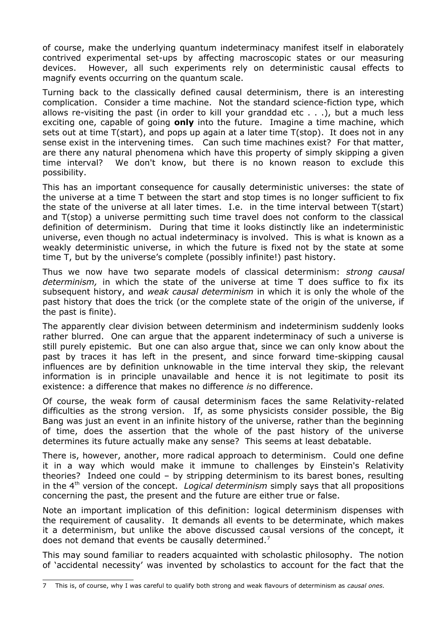of course, make the underlying quantum indeterminacy manifest itself in elaborately contrived experimental set-ups by affecting macroscopic states or our measuring devices. However, all such experiments rely on deterministic causal effects to magnify events occurring on the quantum scale.

Turning back to the classically defined causal determinism, there is an interesting complication. Consider a time machine. Not the standard science-fiction type, which allows re-visiting the past (in order to kill your granddad etc . . .), but a much less exciting one, capable of going **only** into the future. Imagine a time machine, which sets out at time T(start), and pops up again at a later time T(stop). It does not in any sense exist in the intervening times. Can such time machines exist? For that matter, are there any natural phenomena which have this property of simply skipping a given time interval? We don't know, but there is no known reason to exclude this possibility.

This has an important consequence for causally deterministic universes: the state of the universe at a time T between the start and stop times is no longer sufficient to fix the state of the universe at all later times. I.e. in the time interval between T(start) and T(stop) a universe permitting such time travel does not conform to the classical definition of determinism. During that time it looks distinctly like an indeterministic universe, even though no actual indeterminacy is involved. This is what is known as a weakly deterministic universe, in which the future is fixed not by the state at some time T, but by the universe's complete (possibly infinite!) past history.

Thus we now have two separate models of classical determinism: *strong causal determinism,* in which the state of the universe at time T does suffice to fix its subsequent history, and *weak causal determinism* in which it is only the whole of the past history that does the trick (or the complete state of the origin of the universe, if the past is finite).

The apparently clear division between determinism and indeterminism suddenly looks rather blurred. One can argue that the apparent indeterminacy of such a universe is still purely epistemic. But one can also argue that, since we can only know about the past by traces it has left in the present, and since forward time-skipping causal influences are by definition unknowable in the time interval they skip, the relevant information is in principle unavailable and hence it is not legitimate to posit its existence: a difference that makes no difference *is* no difference.

Of course, the weak form of causal determinism faces the same Relativity-related difficulties as the strong version. If, as some physicists consider possible, the Big Bang was just an event in an infinite history of the universe, rather than the beginning of time, does the assertion that the whole of the past history of the universe determines its future actually make any sense? This seems at least debatable.

There is, however, another, more radical approach to determinism. Could one define it in a way which would make it immune to challenges by Einstein's Relativity theories? Indeed one could – by stripping determinism to its barest bones, resulting in the 4<sup>th</sup> version of the concept. *Logical determinism* simply says that all propositions concerning the past, the present and the future are either true or false.

Note an important implication of this definition: logical determinism dispenses with the requirement of causality. It demands all events to be determinate, which makes it a determinism, but unlike the above discussed causal versions of the concept, it does not demand that events be causally determined. $<sup>7</sup>$  $<sup>7</sup>$  $<sup>7</sup>$ </sup>

This may sound familiar to readers acquainted with scholastic philosophy. The notion of 'accidental necessity' was invented by scholastics to account for the fact that the

<span id="page-2-0"></span><sup>7</sup> This is, of course, why I was careful to qualify both strong and weak flavours of determinism as *causal ones.*